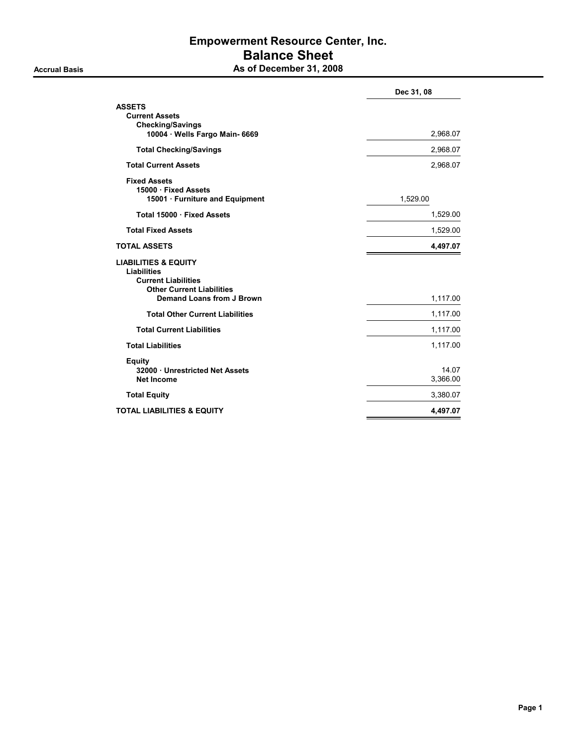### Empowerment Resource Center, Inc. Balance Sheet Accrual Basis **As of December 31, 2008**

|                                                                                                                                                      | Dec 31, 08        |
|------------------------------------------------------------------------------------------------------------------------------------------------------|-------------------|
| <b>ASSETS</b><br><b>Current Assets</b>                                                                                                               |                   |
| <b>Checking/Savings</b><br>10004 · Wells Fargo Main- 6669                                                                                            | 2,968.07          |
| <b>Total Checking/Savings</b>                                                                                                                        | 2,968.07          |
| <b>Total Current Assets</b>                                                                                                                          | 2,968.07          |
| <b>Fixed Assets</b><br>15000 · Fixed Assets<br>15001 · Furniture and Equipment                                                                       | 1,529.00          |
| Total 15000 · Fixed Assets                                                                                                                           | 1,529.00          |
| <b>Total Fixed Assets</b>                                                                                                                            | 1,529.00          |
| <b>TOTAL ASSETS</b>                                                                                                                                  | 4,497.07          |
| <b>LIABILITIES &amp; EQUITY</b><br><b>Liabilities</b><br><b>Current Liabilities</b><br><b>Other Current Liabilities</b><br>Demand Loans from J Brown | 1,117.00          |
| <b>Total Other Current Liabilities</b>                                                                                                               | 1,117.00          |
| <b>Total Current Liabilities</b>                                                                                                                     | 1,117.00          |
| <b>Total Liabilities</b>                                                                                                                             | 1,117.00          |
| <b>Equity</b><br>32000 · Unrestricted Net Assets<br><b>Net Income</b>                                                                                | 14.07<br>3,366.00 |
| <b>Total Equity</b>                                                                                                                                  | 3,380.07          |
| <b>TOTAL LIABILITIES &amp; EQUITY</b>                                                                                                                | 4,497.07          |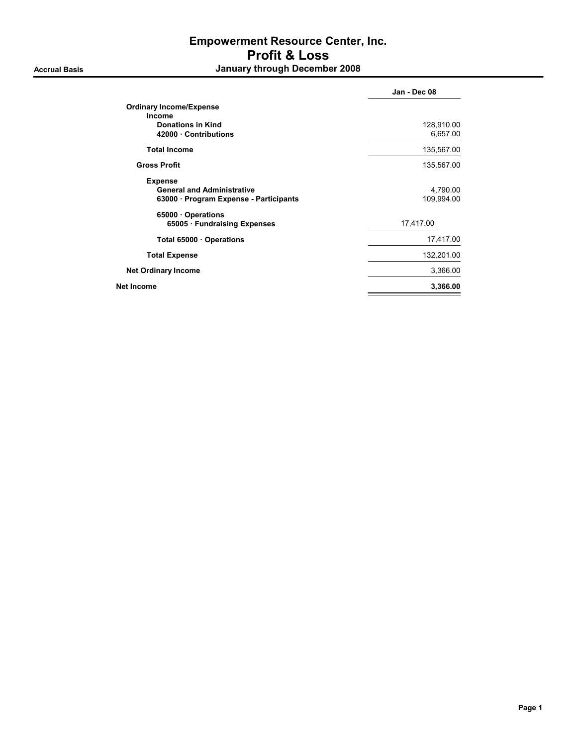## Empowerment Resource Center, Inc. Profit & Loss Accrual Basis **Accrual Basis January through December 2008**

|                                                                                               | Jan - Dec 08           |
|-----------------------------------------------------------------------------------------------|------------------------|
| <b>Ordinary Income/Expense</b>                                                                |                        |
| <b>Income</b><br><b>Donations in Kind</b><br>42000 Contributions                              | 128,910.00<br>6,657.00 |
| <b>Total Income</b>                                                                           | 135,567.00             |
| <b>Gross Profit</b>                                                                           | 135,567.00             |
| <b>Expense</b><br><b>General and Administrative</b><br>63000 · Program Expense - Participants | 4,790.00<br>109,994.00 |
| 65000 Operations<br>65005 Fundraising Expenses                                                | 17,417.00              |
| Total 65000 Operations                                                                        | 17,417.00              |
| <b>Total Expense</b>                                                                          | 132,201.00             |
| <b>Net Ordinary Income</b>                                                                    | 3,366.00               |
| Net Income                                                                                    | 3,366.00               |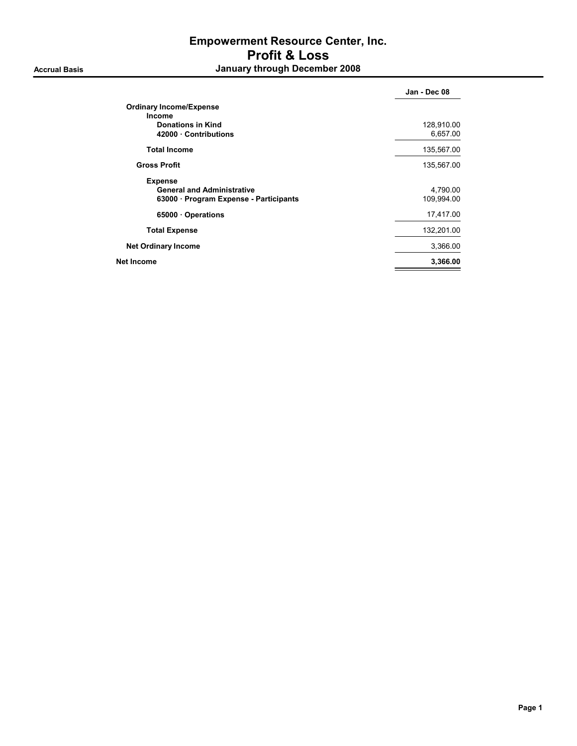## Empowerment Resource Center, Inc. Profit & Loss Accrual Basis **Accrual Basis January through December 2008**

|                                        | Jan - Dec 08 |
|----------------------------------------|--------------|
| <b>Ordinary Income/Expense</b>         |              |
| <b>Income</b>                          |              |
| Donations in Kind                      | 128,910.00   |
| 42000 Contributions                    | 6,657.00     |
| <b>Total Income</b>                    | 135,567.00   |
| <b>Gross Profit</b>                    | 135,567.00   |
| <b>Expense</b>                         |              |
| <b>General and Administrative</b>      | 4,790.00     |
| 63000 · Program Expense - Participants | 109,994.00   |
| 65000 · Operations                     | 17,417.00    |
| <b>Total Expense</b>                   | 132,201.00   |
| <b>Net Ordinary Income</b>             | 3,366.00     |
| Net Income                             | 3,366.00     |
|                                        |              |